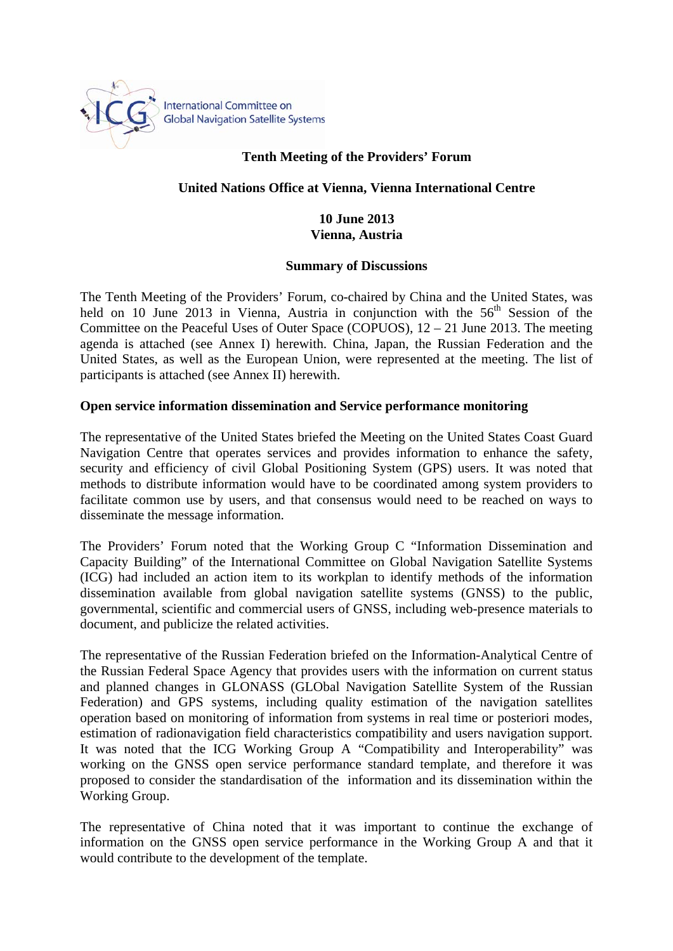

# **Tenth Meeting of the Providers' Forum**

### **United Nations Office at Vienna, Vienna International Centre**

#### **10 June 2013 Vienna, Austria**

#### **Summary of Discussions**

The Tenth Meeting of the Providers' Forum, co-chaired by China and the United States, was held on 10 June 2013 in Vienna, Austria in conjunction with the  $56<sup>th</sup>$  Session of the Committee on the Peaceful Uses of Outer Space (COPUOS), 12 – 21 June 2013. The meeting agenda is attached (see Annex I) herewith. China, Japan, the Russian Federation and the United States, as well as the European Union, were represented at the meeting. The list of participants is attached (see Annex II) herewith.

### **Open service information dissemination and Service performance monitoring**

The representative of the United States briefed the Meeting on the United States Coast Guard Navigation Centre that operates services and provides information to enhance the safety, security and efficiency of civil Global Positioning System (GPS) users. It was noted that methods to distribute information would have to be coordinated among system providers to facilitate common use by users, and that consensus would need to be reached on ways to disseminate the message information.

The Providers' Forum noted that the Working Group C "Information Dissemination and Capacity Building" of the International Committee on Global Navigation Satellite Systems (ICG) had included an action item to its workplan to identify methods of the information dissemination available from global navigation satellite systems (GNSS) to the public, governmental, scientific and commercial users of GNSS, including web-presence materials to document, and publicize the related activities.

The representative of the Russian Federation briefed on the Information-Analytical Centre of the Russian Federal Space Agency that provides users with the information on current status and planned changes in GLONASS (GLObal Navigation Satellite System of the Russian Federation) and GPS systems, including quality estimation of the navigation satellites operation based on monitoring of information from systems in real time or posteriori modes, estimation of radionavigation field characteristics compatibility and users navigation support. It was noted that the ICG Working Group A "Compatibility and Interoperability" was working on the GNSS open service performance standard template, and therefore it was proposed to consider the standardisation of the information and its dissemination within the Working Group.

The representative of China noted that it was important to continue the exchange of information on the GNSS open service performance in the Working Group A and that it would contribute to the development of the template.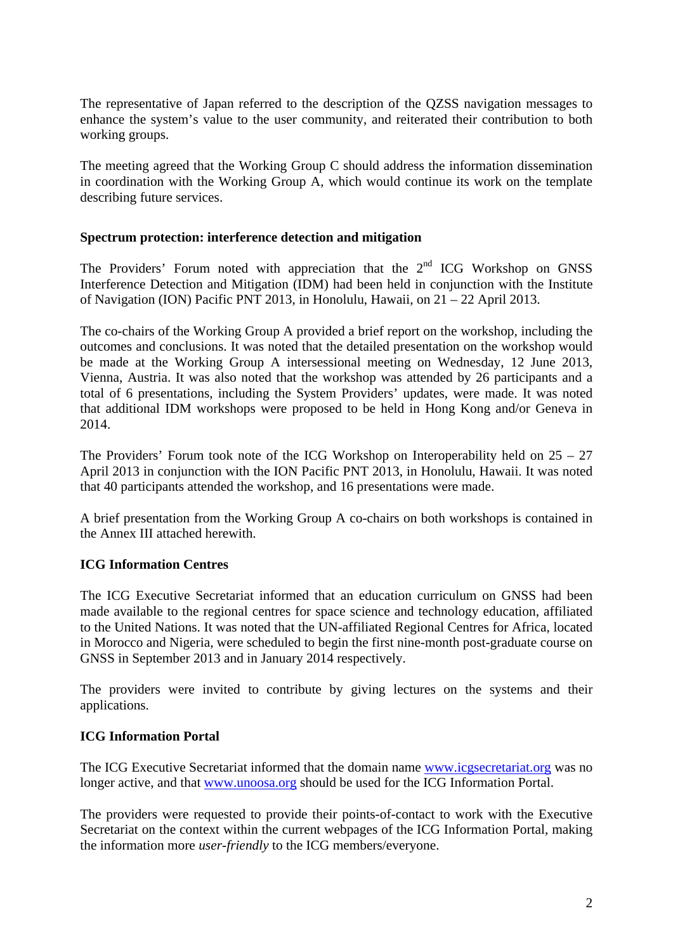The representative of Japan referred to the description of the QZSS navigation messages to enhance the system's value to the user community, and reiterated their contribution to both working groups.

The meeting agreed that the Working Group C should address the information dissemination in coordination with the Working Group A, which would continue its work on the template describing future services.

### **Spectrum protection: interference detection and mitigation**

The Providers' Forum noted with appreciation that the  $2<sup>nd</sup>$  ICG Workshop on GNSS Interference Detection and Mitigation (IDM) had been held in conjunction with the Institute of Navigation (ION) Pacific PNT 2013, in Honolulu, Hawaii, on 21 – 22 April 2013.

The co-chairs of the Working Group A provided a brief report on the workshop, including the outcomes and conclusions. It was noted that the detailed presentation on the workshop would be made at the Working Group A intersessional meeting on Wednesday, 12 June 2013, Vienna, Austria. It was also noted that the workshop was attended by 26 participants and a total of 6 presentations, including the System Providers' updates, were made. It was noted that additional IDM workshops were proposed to be held in Hong Kong and/or Geneva in 2014.

The Providers' Forum took note of the ICG Workshop on Interoperability held on 25 – 27 April 2013 in conjunction with the ION Pacific PNT 2013, in Honolulu, Hawaii. It was noted that 40 participants attended the workshop, and 16 presentations were made.

A brief presentation from the Working Group A co-chairs on both workshops is contained in the Annex III attached herewith.

## **ICG Information Centres**

The ICG Executive Secretariat informed that an education curriculum on GNSS had been made available to the regional centres for space science and technology education, affiliated to the United Nations. It was noted that the UN-affiliated Regional Centres for Africa, located in Morocco and Nigeria, were scheduled to begin the first nine-month post-graduate course on GNSS in September 2013 and in January 2014 respectively.

The providers were invited to contribute by giving lectures on the systems and their applications.

## **ICG Information Portal**

The ICG Executive Secretariat informed that the domain name www.icgsecretariat.org was no longer active, and that www.unoosa.org should be used for the ICG Information Portal.

The providers were requested to provide their points-of-contact to work with the Executive Secretariat on the context within the current webpages of the ICG Information Portal, making the information more *user*-*friendly* to the ICG members/everyone.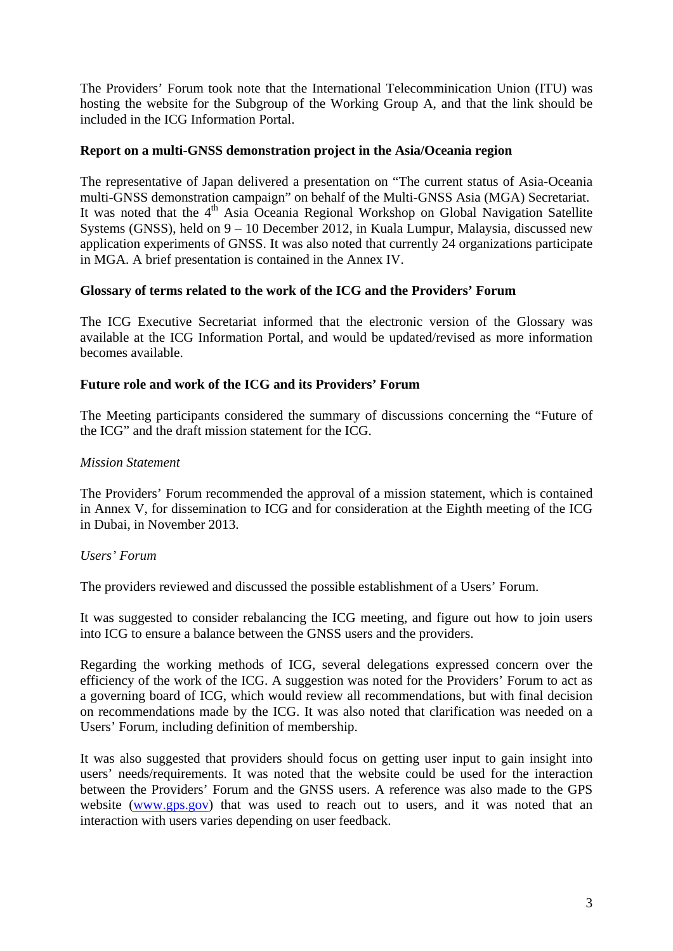The Providers' Forum took note that the International Telecomminication Union (ITU) was hosting the website for the Subgroup of the Working Group A, and that the link should be included in the ICG Information Portal.

#### **Report on a multi-GNSS demonstration project in the Asia/Oceania region**

The representative of Japan delivered a presentation on "The current status of Asia-Oceania multi-GNSS demonstration campaign" on behalf of the Multi-GNSS Asia (MGA) Secretariat. It was noted that the 4<sup>th</sup> Asia Oceania Regional Workshop on Global Navigation Satellite Systems (GNSS), held on 9 – 10 December 2012, in Kuala Lumpur, Malaysia, discussed new application experiments of GNSS. It was also noted that currently 24 organizations participate in MGA. A brief presentation is contained in the Annex IV.

### **Glossary of terms related to the work of the ICG and the Providers' Forum**

The ICG Executive Secretariat informed that the electronic version of the Glossary was available at the ICG Information Portal, and would be updated/revised as more information becomes available.

### **Future role and work of the ICG and its Providers' Forum**

The Meeting participants considered the summary of discussions concerning the "Future of the ICG" and the draft mission statement for the ICG.

### *Mission Statement*

The Providers' Forum recommended the approval of a mission statement, which is contained in Annex V, for dissemination to ICG and for consideration at the Eighth meeting of the ICG in Dubai, in November 2013.

#### *Users' Forum*

The providers reviewed and discussed the possible establishment of a Users' Forum.

It was suggested to consider rebalancing the ICG meeting, and figure out how to join users into ICG to ensure a balance between the GNSS users and the providers.

Regarding the working methods of ICG, several delegations expressed concern over the efficiency of the work of the ICG. A suggestion was noted for the Providers' Forum to act as a governing board of ICG, which would review all recommendations, but with final decision on recommendations made by the ICG. It was also noted that clarification was needed on a Users' Forum, including definition of membership.

It was also suggested that providers should focus on getting user input to gain insight into users' needs/requirements. It was noted that the website could be used for the interaction between the Providers' Forum and the GNSS users. A reference was also made to the GPS website (www.gps.gov) that was used to reach out to users, and it was noted that an interaction with users varies depending on user feedback.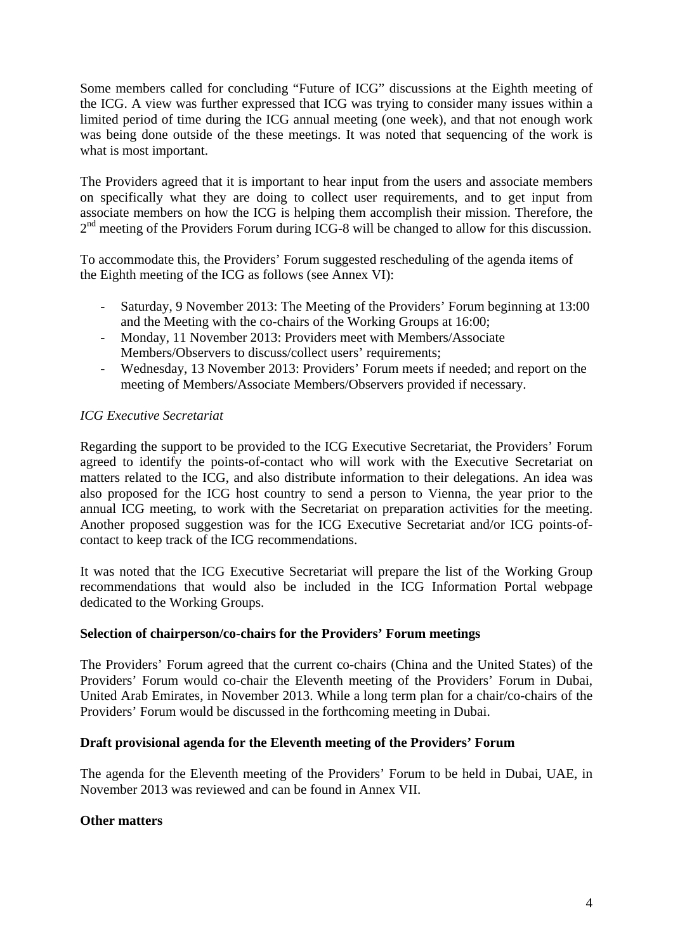Some members called for concluding "Future of ICG" discussions at the Eighth meeting of the ICG. A view was further expressed that ICG was trying to consider many issues within a limited period of time during the ICG annual meeting (one week), and that not enough work was being done outside of the these meetings. It was noted that sequencing of the work is what is most important.

The Providers agreed that it is important to hear input from the users and associate members on specifically what they are doing to collect user requirements, and to get input from associate members on how the ICG is helping them accomplish their mission. Therefore, the  $2<sup>nd</sup>$  meeting of the Providers Forum during ICG-8 will be changed to allow for this discussion.

To accommodate this, the Providers' Forum suggested rescheduling of the agenda items of the Eighth meeting of the ICG as follows (see Annex VI):

- Saturday, 9 November 2013: The Meeting of the Providers' Forum beginning at 13:00 and the Meeting with the co-chairs of the Working Groups at 16:00;
- Monday, 11 November 2013: Providers meet with Members/Associate Members/Observers to discuss/collect users' requirements;
- Wednesday, 13 November 2013: Providers' Forum meets if needed; and report on the meeting of Members/Associate Members/Observers provided if necessary.

## *ICG Executive Secretariat*

Regarding the support to be provided to the ICG Executive Secretariat, the Providers' Forum agreed to identify the points-of-contact who will work with the Executive Secretariat on matters related to the ICG, and also distribute information to their delegations. An idea was also proposed for the ICG host country to send a person to Vienna, the year prior to the annual ICG meeting, to work with the Secretariat on preparation activities for the meeting. Another proposed suggestion was for the ICG Executive Secretariat and/or ICG points-ofcontact to keep track of the ICG recommendations.

It was noted that the ICG Executive Secretariat will prepare the list of the Working Group recommendations that would also be included in the ICG Information Portal webpage dedicated to the Working Groups.

## **Selection of chairperson/co-chairs for the Providers' Forum meetings**

The Providers' Forum agreed that the current co-chairs (China and the United States) of the Providers' Forum would co-chair the Eleventh meeting of the Providers' Forum in Dubai, United Arab Emirates, in November 2013. While a long term plan for a chair/co-chairs of the Providers' Forum would be discussed in the forthcoming meeting in Dubai.

#### **Draft provisional agenda for the Eleventh meeting of the Providers' Forum**

The agenda for the Eleventh meeting of the Providers' Forum to be held in Dubai, UAE, in November 2013 was reviewed and can be found in Annex VII.

## **Other matters**